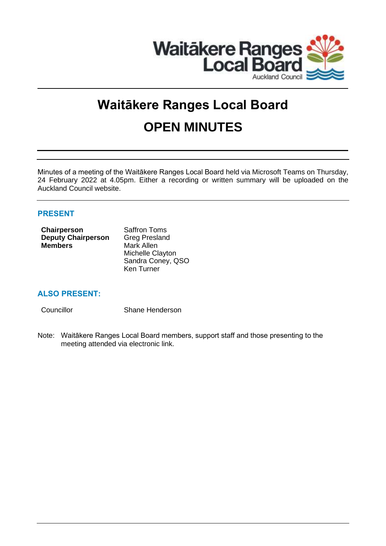

# **Waitākere Ranges Local Board OPEN MINUTES**

Minutes of a meeting of the Waitākere Ranges Local Board held via Microsoft Teams on Thursday, 24 February 2022 at 4.05pm. Either a recording or written summary will be uploaded on the Auckland Council website.

## **PRESENT**

| Chairperson               | <b>Saffron Toms</b>  |
|---------------------------|----------------------|
| <b>Deputy Chairperson</b> | <b>Greg Presland</b> |
| <b>Members</b>            | Mark Allen           |
|                           | Michelle Clayton     |
|                           | Sandra Coney, QSO    |
|                           | Ken Turner           |

# **ALSO PRESENT:**

Councillor Shane Henderson

Note: Waitākere Ranges Local Board members, support staff and those presenting to the meeting attended via electronic link.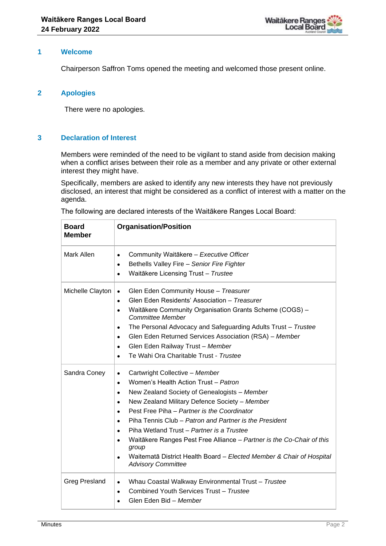

## **1 Welcome**

Chairperson Saffron Toms opened the meeting and welcomed those present online.

## **2 Apologies**

There were no apologies.

## **3 Declaration of Interest**

Members were reminded of the need to be vigilant to stand aside from decision making when a conflict arises between their role as a member and any private or other external interest they might have.

Specifically, members are asked to identify any new interests they have not previously disclosed, an interest that might be considered as a conflict of interest with a matter on the agenda.

| <b>Board</b><br><b>Member</b> | <b>Organisation/Position</b>                                                                                                                                                                                                                                                                                                                                                                                                                                                                                                                                                          |
|-------------------------------|---------------------------------------------------------------------------------------------------------------------------------------------------------------------------------------------------------------------------------------------------------------------------------------------------------------------------------------------------------------------------------------------------------------------------------------------------------------------------------------------------------------------------------------------------------------------------------------|
| Mark Allen                    | Community Waitākere - Executive Officer<br>$\bullet$<br>Bethells Valley Fire - Senior Fire Fighter<br>$\bullet$<br>Waitākere Licensing Trust - Trustee<br>$\bullet$                                                                                                                                                                                                                                                                                                                                                                                                                   |
| Michelle Clayton              | Glen Eden Community House - Treasurer<br>$\bullet$<br>Glen Eden Residents' Association - Treasurer<br>$\bullet$<br>Waitākere Community Organisation Grants Scheme (COGS) -<br><b>Committee Member</b><br>The Personal Advocacy and Safeguarding Adults Trust - Trustee<br>$\bullet$<br>Glen Eden Returned Services Association (RSA) - Member<br>$\bullet$<br>Glen Eden Railway Trust - Member<br>$\bullet$<br>Te Wahi Ora Charitable Trust - Trustee                                                                                                                                 |
| Sandra Coney                  | Cartwright Collective - Member<br>$\bullet$<br>Women's Health Action Trust - Patron<br>$\bullet$<br>New Zealand Society of Genealogists - Member<br>$\bullet$<br>New Zealand Military Defence Society - Member<br>$\bullet$<br>Pest Free Piha - Partner is the Coordinator<br>Piha Tennis Club – Patron and Partner is the President<br>$\bullet$<br>Piha Wetland Trust - Partner is a Trustee<br>Waitākere Ranges Pest Free Alliance - Partner is the Co-Chair of this<br>group<br>Waitematā District Health Board - Elected Member & Chair of Hospital<br><b>Advisory Committee</b> |
| <b>Greg Presland</b>          | Whau Coastal Walkway Environmental Trust - Trustee<br>$\bullet$<br>Combined Youth Services Trust - Trustee<br>$\bullet$<br>Glen Eden Bid - Member                                                                                                                                                                                                                                                                                                                                                                                                                                     |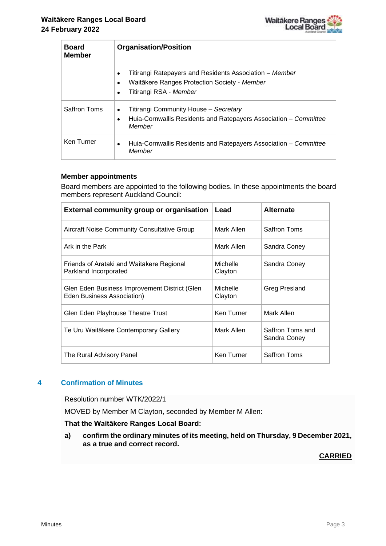

| <b>Board</b><br><b>Member</b> | <b>Organisation/Position</b>                                                                                                                                             |
|-------------------------------|--------------------------------------------------------------------------------------------------------------------------------------------------------------------------|
|                               | Titirangi Ratepayers and Residents Association – Member<br>$\bullet$<br>Waitākere Ranges Protection Society - Member<br>$\bullet$<br>Titirangi RSA - Member<br>$\bullet$ |
| <b>Saffron Toms</b>           | Titirangi Community House - Secretary<br>$\bullet$<br>Huia-Cornwallis Residents and Ratepayers Association – Committee<br>Member                                         |
| Ken Turner                    | Huia-Cornwallis Residents and Ratepayers Association - Committee<br>$\bullet$<br>Member                                                                                  |

## **Member appointments**

Board members are appointed to the following bodies. In these appointments the board members represent Auckland Council:

| <b>External community group or organisation</b>                             | Lead                | <b>Alternate</b>                 |
|-----------------------------------------------------------------------------|---------------------|----------------------------------|
| <b>Aircraft Noise Community Consultative Group</b>                          | Mark Allen          | Saffron Toms                     |
| Ark in the Park                                                             | Mark Allen          | Sandra Coney                     |
| Friends of Arataki and Waitākere Regional<br>Parkland Incorporated          | Michelle<br>Clayton | Sandra Coney                     |
| Glen Eden Business Improvement District (Glen<br>Eden Business Association) | Michelle<br>Clayton | Greg Presland                    |
| Glen Eden Playhouse Theatre Trust                                           | Ken Turner          | Mark Allen                       |
| Te Uru Waitākere Contemporary Gallery                                       | Mark Allen          | Saffron Toms and<br>Sandra Coney |
| The Rural Advisory Panel                                                    | Ken Turner          | Saffron Toms                     |

## **4 Confirmation of Minutes**

Resolution number WTK/2022/1

MOVED by Member M Clayton, seconded by Member M Allen:

## **That the Waitākere Ranges Local Board:**

**a) confirm the ordinary minutes of its meeting, held on Thursday, 9 December 2021, as a true and correct record.**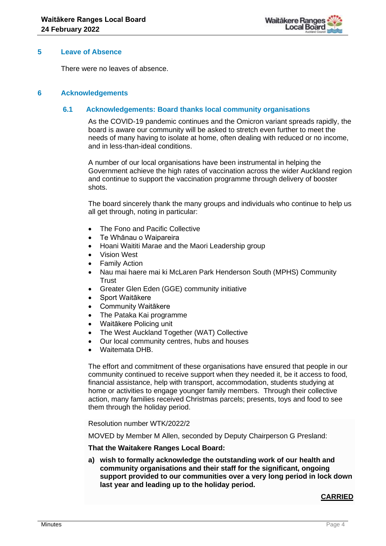

## **5 Leave of Absence**

There were no leaves of absence.

## **6 Acknowledgements**

#### **6.1 Acknowledgements: Board thanks local community organisations**

As the COVID-19 pandemic continues and the Omicron variant spreads rapidly, the board is aware our community will be asked to stretch even further to meet the needs of many having to isolate at home, often dealing with reduced or no income, and in less-than-ideal conditions.

A number of our local organisations have been instrumental in helping the Government achieve the high rates of vaccination across the wider Auckland region and continue to support the vaccination programme through delivery of booster shots.

The board sincerely thank the many groups and individuals who continue to help us all get through, noting in particular:

- The Fono and Pacific Collective
- Te Whānau o Waipareira
- Hoani Waititi Marae and the Maori Leadership group
- Vision West
- Family Action
- Nau mai haere mai ki McLaren Park Henderson South (MPHS) Community **Trust**
- Greater Glen Eden (GGE) community initiative
- Sport Waitākere
- Community Waitākere
- The Pataka Kai programme
- Waitākere Policing unit
- The West Auckland Together (WAT) Collective
- Our local community centres, hubs and houses
- Waitemata DHB.

The effort and commitment of these organisations have ensured that people in our community continued to receive support when they needed it, be it access to food, financial assistance, help with transport, accommodation, students studying at home or activities to engage younger family members. Through their collective action, many families received Christmas parcels; presents, toys and food to see them through the holiday period.

Resolution number WTK/2022/2

MOVED by Member M Allen, seconded by Deputy Chairperson G Presland:

**That the Waitakere Ranges Local Board:**

**a) wish to formally acknowledge the outstanding work of our health and community organisations and their staff for the significant, ongoing support provided to our communities over a very long period in lock down last year and leading up to the holiday period.**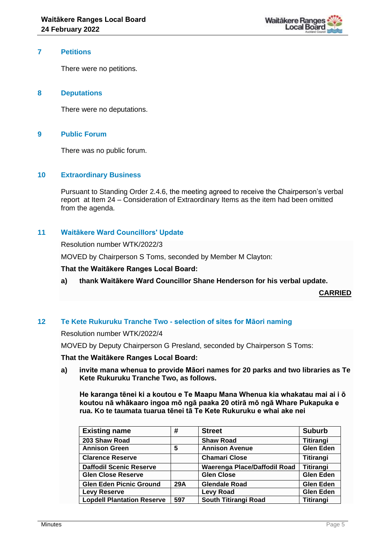

### **7 Petitions**

There were no petitions.

## **8 Deputations**

There were no deputations.

## **9 Public Forum**

There was no public forum.

## **10 Extraordinary Business**

Pursuant to Standing Order 2.4.6, the meeting agreed to receive the Chairperson's verbal report at Item 24 – Consideration of Extraordinary Items as the item had been omitted from the agenda.

## **11 Waitākere Ward Councillors' Update**

Resolution number WTK/2022/3

MOVED by Chairperson S Toms, seconded by Member M Clayton:

**That the Waitākere Ranges Local Board:**

## **a) thank Waitākere Ward Councillor Shane Henderson for his verbal update.**

**CARRIED**

## **12 Te Kete Rukuruku Tranche Two - selection of sites for Māori naming**

Resolution number WTK/2022/4

MOVED by Deputy Chairperson G Presland, seconded by Chairperson S Toms:

#### **That the Waitākere Ranges Local Board:**

**a) invite mana whenua to provide Māori names for 20 parks and two libraries as Te Kete Rukuruku Tranche Two, as follows.**

**He karanga tēnei ki a koutou e Te Maapu Mana Whenua kia whakatau mai ai i ō koutou nā whākaaro ingoa mō ngā paaka 20 otirā mō ngā Whare Pukapuka e rua. Ko te taumata tuarua tēnei tā Te Kete Rukuruku e whai ake nei**

| <b>Existing name</b>              | #   | <b>Street</b>                | <b>Suburb</b>    |
|-----------------------------------|-----|------------------------------|------------------|
| 203 Shaw Road                     |     | <b>Shaw Road</b>             | <b>Titirangi</b> |
| <b>Annison Green</b>              | 5   | <b>Annison Avenue</b>        | <b>Glen Eden</b> |
| <b>Clarence Reserve</b>           |     | <b>Chamari Close</b>         | <b>Titirangi</b> |
| <b>Daffodil Scenic Reserve</b>    |     | Waerenga Place/Daffodil Road | <b>Titirangi</b> |
| <b>Glen Close Reserve</b>         |     | <b>Glen Close</b>            | <b>Glen Eden</b> |
| <b>Glen Eden Picnic Ground</b>    | 29A | <b>Glendale Road</b>         | <b>Glen Eden</b> |
| <b>Levy Reserve</b>               |     | <b>Levy Road</b>             | <b>Glen Eden</b> |
| <b>Lopdell Plantation Reserve</b> | 597 | South Titirangi Road         | <b>Titirangi</b> |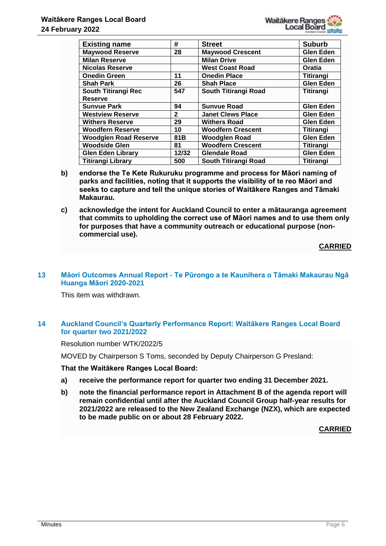

| <b>Existing name</b>         | #            | <b>Street</b>            | <b>Suburb</b>    |
|------------------------------|--------------|--------------------------|------------------|
| <b>Maywood Reserve</b>       | 28           | <b>Maywood Crescent</b>  | <b>Glen Eden</b> |
| <b>Milan Reserve</b>         |              | <b>Milan Drive</b>       | <b>Glen Eden</b> |
| <b>Nicolas Reserve</b>       |              | <b>West Coast Road</b>   | Oratia           |
| <b>Onedin Green</b>          | 11           | <b>Onedin Place</b>      | Titirangi        |
| <b>Shah Park</b>             | 26           | <b>Shah Place</b>        | <b>Glen Eden</b> |
| South Titirangi Rec          | 547          | South Titirangi Road     | <b>Titirangi</b> |
| <b>Reserve</b>               |              |                          |                  |
| <b>Sunvue Park</b>           | 94           | <b>Sunvue Road</b>       | <b>Glen Eden</b> |
| <b>Westview Reserve</b>      | $\mathbf{2}$ | <b>Janet Clews Place</b> | <b>Glen Eden</b> |
| <b>Withers Reserve</b>       | 29           | <b>Withers Road</b>      | <b>Glen Eden</b> |
| <b>Woodfern Reserve</b>      | 10           | <b>Woodfern Crescent</b> | Titirangi        |
| <b>Woodglen Road Reserve</b> | 81B          | <b>Woodglen Road</b>     | Glen Eden        |
| <b>Woodside Glen</b>         | 81           | <b>Woodfern Crescent</b> | <b>Titirangi</b> |
| <b>Glen Eden Library</b>     | 12/32        | <b>Glendale Road</b>     | <b>Glen Eden</b> |
| <b>Titirangi Library</b>     | 500          | South Titirangi Road     | <b>Titirangi</b> |

- **b) endorse the Te Kete Rukuruku programme and process for Māori naming of parks and facilities, noting that it supports the visibility of te reo Māori and seeks to capture and tell the unique stories of Waitākere Ranges and Tāmaki Makaurau.**
- **c) acknowledge the intent for Auckland Council to enter a mātauranga agreement that commits to upholding the correct use of Māori names and to use them only for purposes that have a community outreach or educational purpose (noncommercial use).**

## **CARRIED**

## **13 Māori Outcomes Annual Report - Te Pūrongo a te Kaunihera o Tāmaki Makaurau Ngā Huanga Māori 2020-2021**

This item was withdrawn.

## **14 Auckland Council's Quarterly Performance Report: Waitākere Ranges Local Board for quarter two 2021/2022**

Resolution number WTK/2022/5

MOVED by Chairperson S Toms, seconded by Deputy Chairperson G Presland:

**That the Waitākere Ranges Local Board:**

- **a) receive the performance report for quarter two ending 31 December 2021.**
- **b) note the financial performance report in Attachment B of the agenda report will remain confidential until after the Auckland Council Group half-year results for 2021/2022 are released to the New Zealand Exchange (NZX), which are expected to be made public on or about 28 February 2022.**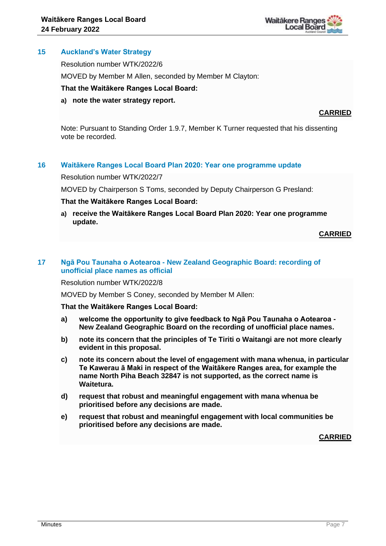

## **15 Auckland's Water Strategy**

Resolution number WTK/2022/6

MOVED by Member M Allen, seconded by Member M Clayton:

#### **That the Waitākere Ranges Local Board:**

#### **a) note the water strategy report.**

## **CARRIED**

Note: Pursuant to Standing Order 1.9.7, Member K Turner requested that his dissenting vote be recorded.

## **16 Waitākere Ranges Local Board Plan 2020: Year one programme update**

#### Resolution number WTK/2022/7

MOVED by Chairperson S Toms, seconded by Deputy Chairperson G Presland:

#### **That the Waitākere Ranges Local Board:**

**a) receive the Waitākere Ranges Local Board Plan 2020: Year one programme update.**

#### **CARRIED**

#### **17 Ngā Pou Taunaha o Aotearoa - New Zealand Geographic Board: recording of unofficial place names as official**

Resolution number WTK/2022/8

MOVED by Member S Coney, seconded by Member M Allen:

**That the Waitākere Ranges Local Board:**

- **a) welcome the opportunity to give feedback to Ngā Pou Taunaha o Aotearoa - New Zealand Geographic Board on the recording of unofficial place names.**
- **b) note its concern that the principles of Te Tiriti o Waitangi are not more clearly evident in this proposal.**
- **c) note its concern about the level of engagement with mana whenua, in particular Te Kawerau ā Maki in respect of the Waitākere Ranges area, for example the name North Piha Beach 32847 is not supported, as the correct name is Waitetura.**
- **d) request that robust and meaningful engagement with mana whenua be prioritised before any decisions are made.**
- **e) request that robust and meaningful engagement with local communities be prioritised before any decisions are made.**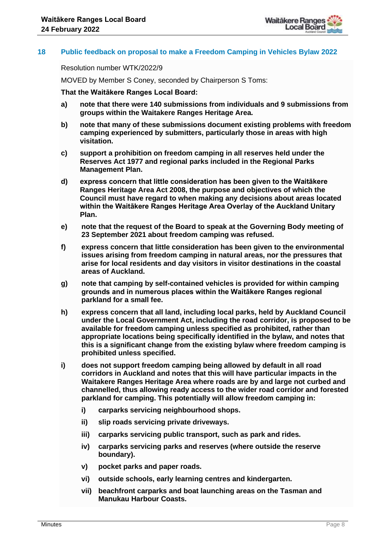

## **18 Public feedback on proposal to make a Freedom Camping in Vehicles Bylaw 2022**

Resolution number WTK/2022/9

MOVED by Member S Coney, seconded by Chairperson S Toms:

**That the Waitākere Ranges Local Board:**

- **a) note that there were 140 submissions from individuals and 9 submissions from groups within the Waitakere Ranges Heritage Area.**
- **b) note that many of these submissions document existing problems with freedom camping experienced by submitters, particularly those in areas with high visitation.**
- **c) support a prohibition on freedom camping in all reserves held under the Reserves Act 1977 and regional parks included in the Regional Parks Management Plan.**
- **d) express concern that little consideration has been given to the Waitākere Ranges Heritage Area Act 2008, the purpose and objectives of which the Council must have regard to when making any decisions about areas located within the Waitākere Ranges Heritage Area Overlay of the Auckland Unitary Plan.**
- **e) note that the request of the Board to speak at the Governing Body meeting of 23 September 2021 about freedom camping was refused.**
- **f) express concern that little consideration has been given to the environmental issues arising from freedom camping in natural areas, nor the pressures that arise for local residents and day visitors in visitor destinations in the coastal areas of Auckland.**
- **g) note that camping by self-contained vehicles is provided for within camping grounds and in numerous places within the Waitākere Ranges regional parkland for a small fee.**
- **h) express concern that all land, including local parks, held by Auckland Council under the Local Government Act, including the road corridor, is proposed to be available for freedom camping unless specified as prohibited, rather than appropriate locations being specifically identified in the bylaw, and notes that this is a significant change from the existing bylaw where freedom camping is prohibited unless specified.**
- **i) does not support freedom camping being allowed by default in all road corridors in Auckland and notes that this will have particular impacts in the Waitakere Ranges Heritage Area where roads are by and large not curbed and channelled, thus allowing ready access to the wider road corridor and forested parkland for camping. This potentially will allow freedom camping in:**
	- **i) carparks servicing neighbourhood shops.**
	- **ii) slip roads servicing private driveways.**
	- **iii) carparks servicing public transport, such as park and rides.**
	- **iv) carparks servicing parks and reserves (where outside the reserve boundary).**
	- **v) pocket parks and paper roads.**
	- **vi) outside schools, early learning centres and kindergarten.**
	- **vii) beachfront carparks and boat launching areas on the Tasman and Manukau Harbour Coasts.**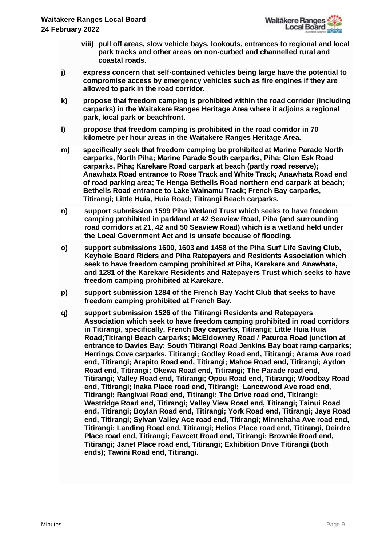- **viii) pull off areas, slow vehicle bays, lookouts, entrances to regional and local park tracks and other areas on non-curbed and channelled rural and coastal roads.**
- **j) express concern that self-contained vehicles being large have the potential to compromise access by emergency vehicles such as fire engines if they are allowed to park in the road corridor.**
- **k) propose that freedom camping is prohibited within the road corridor (including carparks) in the Waitakere Ranges Heritage Area where it adjoins a regional park, local park or beachfront.**
- **l) propose that freedom camping is prohibited in the road corridor in 70 kilometre per hour areas in the Waitakere Ranges Heritage Area.**
- **m) specifically seek that freedom camping be prohibited at Marine Parade North carparks, North Piha; Marine Parade South carparks, Piha; Glen Esk Road carparks, Piha; Karekare Road carpark at beach (partly road reserve); Anawhata Road entrance to Rose Track and White Track; Anawhata Road end of road parking area; Te Henga Bethells Road northern end carpark at beach; Bethells Road entrance to Lake Wainamu Track; French Bay carparks, Titirangi; Little Huia, Huia Road; Titirangi Beach carparks.**
- **n) support submission 1599 Piha Wetland Trust which seeks to have freedom camping prohibited in parkland at 42 Seaview Road, Piha (and surrounding road corridors at 21, 42 and 50 Seaview Road) which is a wetland held under the Local Government Act and is unsafe because of flooding.**
- **o) support submissions 1600, 1603 and 1458 of the Piha Surf Life Saving Club, Keyhole Board Riders and Piha Ratepayers and Residents Association which seek to have freedom camping prohibited at Piha, Karekare and Anawhata, and 1281 of the Karekare Residents and Ratepayers Trust which seeks to have freedom camping prohibited at Karekare.**
- **p) support submission 1284 of the French Bay Yacht Club that seeks to have freedom camping prohibited at French Bay.**
- **q) support submission 1526 of the Titirangi Residents and Ratepayers Association which seek to have freedom camping prohibited in road corridors in Titirangi, specifically, French Bay carparks, Titirangi; Little Huia Huia Road;Titirangi Beach carparks; McEldowney Road / Paturoa Road junction at entrance to Davies Bay; South Titirangi Road Jenkins Bay boat ramp carparks; Herrings Cove carparks, Titirangi; Godley Road end, Titirangi; Arama Ave road end, Titirangi; Arapito Road end, Titirangi; Mahoe Road end, Titirangi; Aydon Road end, Titirangi; Okewa Road end, Titirangi; The Parade road end, Titirangi; Valley Road end, Titirangi; Opou Road end, Titirangi; Woodbay Road end, Titirangi; Inaka Place road end, Titirangi; Lancewood Ave road end, Titirangi; Rangiwai Road end, Titirangi; The Drive road end, Titirangi; Westridge Road end, Titirangi; Valley View Road end, Titirangi; Tainui Road end, Titirangi; Boylan Road end, Titirangi; York Road end, Titirangi; Jays Road end, Titirangi; Sylvan Valley Ace road end, Titirangi; Minnehaha Ave road end, Titirangi; Landing Road end, Titirangi; Helios Place road end, Titirangi, Deirdre Place road end, Titirangi; Fawcett Road end, Titirangi; Brownie Road end, Titirangi; Janet Place road end, Titirangi; Exhibition Drive Titirangi (both ends); Tawini Road end, Titirangi.**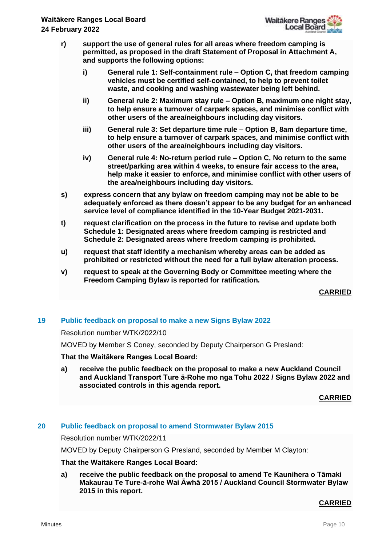- **r) support the use of general rules for all areas where freedom camping is permitted, as proposed in the draft Statement of Proposal in Attachment A, and supports the following options:**
	- **i) General rule 1: Self-containment rule – Option C, that freedom camping vehicles must be certified self-contained, to help to prevent toilet waste, and cooking and washing wastewater being left behind.**
	- **ii) General rule 2: Maximum stay rule – Option B, maximum one night stay, to help ensure a turnover of carpark spaces, and minimise conflict with other users of the area/neighbours including day visitors.**
	- **iii) General rule 3: Set departure time rule – Option B, 8am departure time, to help ensure a turnover of carpark spaces, and minimise conflict with other users of the area/neighbours including day visitors.**
	- **iv) General rule 4: No-return period rule – Option C, No return to the same street/parking area within 4 weeks, to ensure fair access to the area, help make it easier to enforce, and minimise conflict with other users of the area/neighbours including day visitors.**
- **s) express concern that any bylaw on freedom camping may not be able to be adequately enforced as there doesn't appear to be any budget for an enhanced service level of compliance identified in the 10-Year Budget 2021-2031.**
- **t) request clarification on the process in the future to revise and update both Schedule 1: Designated areas where freedom camping is restricted and Schedule 2: Designated areas where freedom camping is prohibited.**
- **u) request that staff identify a mechanism whereby areas can be added as prohibited or restricted without the need for a full bylaw alteration process.**
- **v) request to speak at the Governing Body or Committee meeting where the Freedom Camping Bylaw is reported for ratification.**

**CARRIED**

## **19 Public feedback on proposal to make a new Signs Bylaw 2022**

#### Resolution number WTK/2022/10

MOVED by Member S Coney, seconded by Deputy Chairperson G Presland:

#### **That the Waitākere Ranges Local Board:**

**a) receive the public feedback on the proposal to make a new Auckland Council and Auckland Transport Ture ā-Rohe mo nga Tohu 2022 / Signs Bylaw 2022 and associated controls in this agenda report.** 

**CARRIED**

# **20 Public feedback on proposal to amend Stormwater Bylaw 2015**

Resolution number WTK/2022/11

MOVED by Deputy Chairperson G Presland, seconded by Member M Clayton:

## **That the Waitākere Ranges Local Board:**

**a) receive the public feedback on the proposal to amend Te Kaunihera o Tāmaki Makaurau Te Ture-ā-rohe Wai Āwhā 2015 / Auckland Council Stormwater Bylaw 2015 in this report.**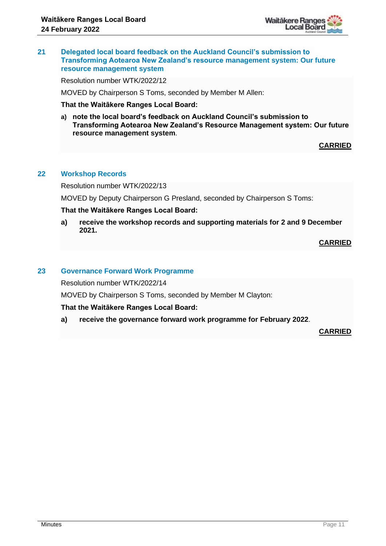

## **21 Delegated local board feedback on the Auckland Council's submission to Transforming Aotearoa New Zealand's resource management system: Our future resource management system**

Resolution number WTK/2022/12

MOVED by Chairperson S Toms, seconded by Member M Allen:

**That the Waitākere Ranges Local Board:**

**a) note the local board's feedback on Auckland Council's submission to Transforming Aotearoa New Zealand's Resource Management system: Our future resource management system**.

**CARRIED**

## **22 Workshop Records**

Resolution number WTK/2022/13

MOVED by Deputy Chairperson G Presland, seconded by Chairperson S Toms:

## **That the Waitākere Ranges Local Board:**

**a) receive the workshop records and supporting materials for 2 and 9 December 2021.**

**CARRIED**

#### **23 Governance Forward Work Programme**

Resolution number WTK/2022/14

MOVED by Chairperson S Toms, seconded by Member M Clayton:

## **That the Waitākere Ranges Local Board:**

**a) receive the governance forward work programme for February 2022**.